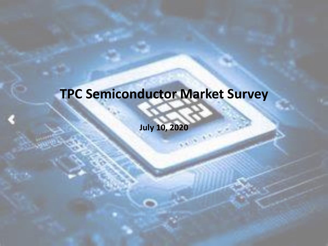### **TPC Semiconductor Market Survey**

**July 10, 2020**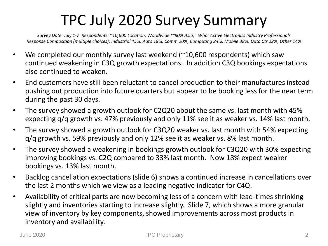### TPC July 2020 Survey Summary

*Survey Date: July 1-7 Respondents: ~10,600 Location: Worldwide (~80% Asia) Who: Active Electronics Industry Professionals Response Composition (multiple choices): Industrial 45%, Auto 18%, Comm 20%, Computing 24%, Mobile 38%, Data Ctr 22%, Other 14%*

- We completed our monthly survey last weekend  $(210,600$  respondents) which saw continued weakening in C3Q growth expectations. In addition C3Q bookings expectations also continued to weaken.
- End customers have still been reluctant to cancel production to their manufactures instead pushing out production into future quarters but appear to be booking less for the near term during the past 30 days.
- The survey showed a growth outlook for C2Q20 about the same vs. last month with 45% expecting q/q growth vs. 47% previously and only 11% see it as weaker vs. 14% last month.
- The survey showed a growth outlook for C3Q20 weaker vs. last month with 54% expecting q/q growth vs. 59% previously and only 12% see it as weaker vs. 8% last month.
- The survey showed a weakening in bookings growth outlook for C3Q20 with 30% expecting improving bookings vs. C2Q compared to 33% last month. Now 18% expect weaker bookings vs. 13% last month.
- Backlog cancellation expectations (slide 6) shows a continued increase in cancellations over the last 2 months which we view as a leading negative indicator for C4Q.
- Availability of critical parts are now becoming less of a concern with lead-times shrinking slightly and inventories starting to increase slightly. Slide 7, which shows a more granular view of inventory by key components, showed improvements across most products in inventory and availability.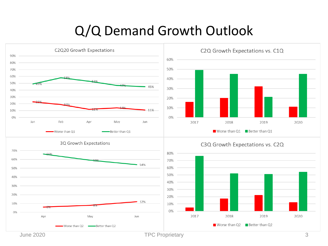#### Q/Q Demand Growth Outlook

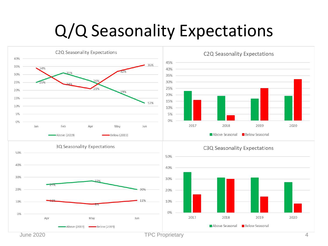## Q/Q Seasonality Expectations

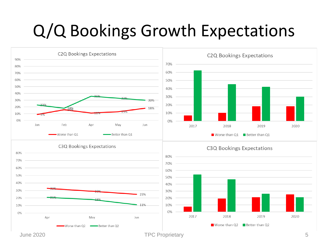## Q/Q Bookings Growth Expectations

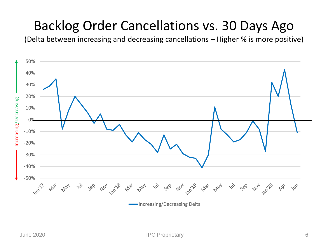#### Backlog Order Cancellations vs. 30 Days Ago

(Delta between increasing and decreasing cancellations – Higher % is more positive)

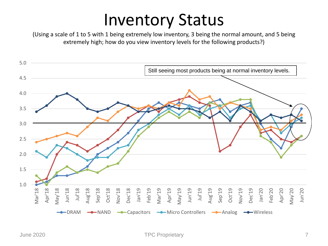## Inventory Status

(Using a scale of 1 to 5 with 1 being extremely low inventory, 3 being the normal amount, and 5 being extremely high; how do you view inventory levels for the following products?)

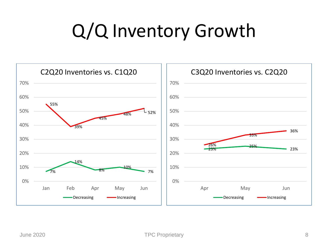# Q/Q Inventory Growth

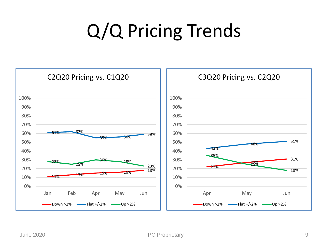# Q/Q Pricing Trends